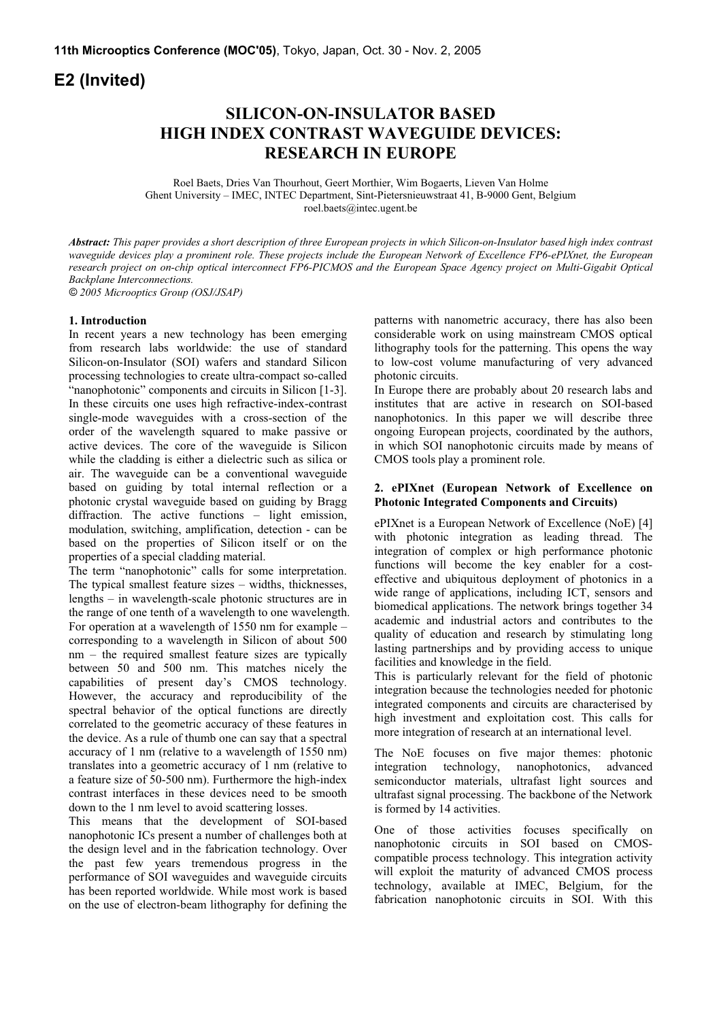# **E2 (Invited)**

## **SILICON-ON-INSULATOR BASED HIGH INDEX CONTRAST WAVEGUIDE DEVICES: RESEARCH IN EUROPE**

Roel Baets, Dries Van Thourhout, Geert Morthier, Wim Bogaerts, Lieven Van Holme Ghent University – IMEC, INTEC Department, Sint-Pietersnieuwstraat 41, B-9000 Gent, Belgium roel.baets@intec.ugent.be

*Abstract: This paper provides a short description of three European projects in which Silicon-on-Insulator based high index contrast waveguide devices play a prominent role. These projects include the European Network of Excellence FP6-ePIXnet, the European research project on on-chip optical interconnect FP6-PICMOS and the European Space Agency project on Multi-Gigabit Optical Backplane Interconnections.* 

*© 2005 Microoptics Group (OSJ/JSAP)* 

### **1. Introduction**

In recent years a new technology has been emerging from research labs worldwide: the use of standard Silicon-on-Insulator (SOI) wafers and standard Silicon processing technologies to create ultra-compact so-called "nanophotonic" components and circuits in Silicon [1-3]. In these circuits one uses high refractive-index-contrast single-mode waveguides with a cross-section of the order of the wavelength squared to make passive or active devices. The core of the waveguide is Silicon while the cladding is either a dielectric such as silica or air. The waveguide can be a conventional waveguide based on guiding by total internal reflection or a photonic crystal waveguide based on guiding by Bragg diffraction. The active functions – light emission, modulation, switching, amplification, detection - can be based on the properties of Silicon itself or on the properties of a special cladding material.

The term "nanophotonic" calls for some interpretation. The typical smallest feature sizes – widths, thicknesses, lengths – in wavelength-scale photonic structures are in the range of one tenth of a wavelength to one wavelength. For operation at a wavelength of 1550 nm for example – corresponding to a wavelength in Silicon of about 500 nm – the required smallest feature sizes are typically between 50 and 500 nm. This matches nicely the capabilities of present day's CMOS technology. However, the accuracy and reproducibility of the spectral behavior of the optical functions are directly correlated to the geometric accuracy of these features in the device. As a rule of thumb one can say that a spectral accuracy of 1 nm (relative to a wavelength of 1550 nm) translates into a geometric accuracy of 1 nm (relative to a feature size of 50-500 nm). Furthermore the high-index contrast interfaces in these devices need to be smooth down to the 1 nm level to avoid scattering losses.

This means that the development of SOI-based nanophotonic ICs present a number of challenges both at the design level and in the fabrication technology. Over the past few years tremendous progress in the performance of SOI waveguides and waveguide circuits has been reported worldwide. While most work is based on the use of electron-beam lithography for defining the

patterns with nanometric accuracy, there has also been considerable work on using mainstream CMOS optical lithography tools for the patterning. This opens the way to low-cost volume manufacturing of very advanced photonic circuits.

In Europe there are probably about 20 research labs and institutes that are active in research on SOI-based nanophotonics. In this paper we will describe three ongoing European projects, coordinated by the authors, in which SOI nanophotonic circuits made by means of CMOS tools play a prominent role.

### **2. ePIXnet (European Network of Excellence on Photonic Integrated Components and Circuits)**

ePIXnet is a European Network of Excellence (NoE) [4] with photonic integration as leading thread. The integration of complex or high performance photonic functions will become the key enabler for a costeffective and ubiquitous deployment of photonics in a wide range of applications, including ICT, sensors and biomedical applications. The network brings together 34 academic and industrial actors and contributes to the quality of education and research by stimulating long lasting partnerships and by providing access to unique facilities and knowledge in the field.

This is particularly relevant for the field of photonic integration because the technologies needed for photonic integrated components and circuits are characterised by high investment and exploitation cost. This calls for more integration of research at an international level.

The NoE focuses on five major themes: photonic integration technology, nanophotonics, advanced semiconductor materials, ultrafast light sources and ultrafast signal processing. The backbone of the Network is formed by 14 activities.

One of those activities focuses specifically on nanophotonic circuits in SOI based on CMOScompatible process technology. This integration activity will exploit the maturity of advanced CMOS process technology, available at IMEC, Belgium, for the fabrication nanophotonic circuits in SOI. With this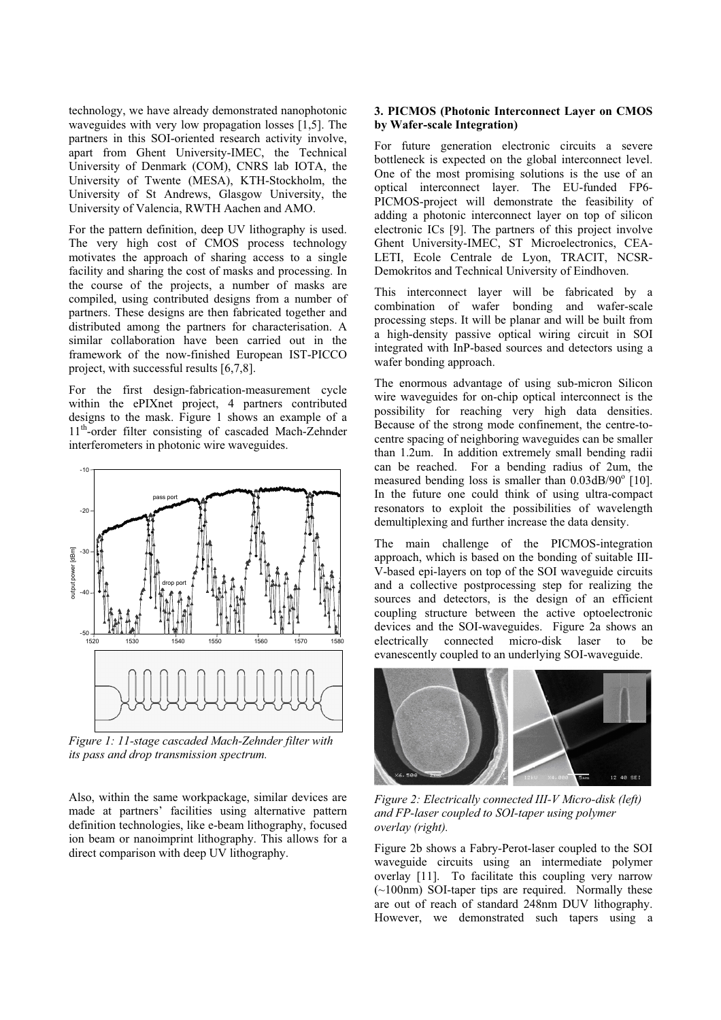technology, we have already demonstrated nanophotonic waveguides with very low propagation losses [1,5]. The partners in this SOI-oriented research activity involve, apart from Ghent University-IMEC, the Technical University of Denmark (COM), CNRS lab IOTA, the University of Twente (MESA), KTH-Stockholm, the University of St Andrews, Glasgow University, the University of Valencia, RWTH Aachen and AMO.

For the pattern definition, deep UV lithography is used. The very high cost of CMOS process technology motivates the approach of sharing access to a single facility and sharing the cost of masks and processing. In the course of the projects, a number of masks are compiled, using contributed designs from a number of partners. These designs are then fabricated together and distributed among the partners for characterisation. A similar collaboration have been carried out in the framework of the now-finished European IST-PICCO project, with successful results [6,7,8].

For the first design-fabrication-measurement cycle within the ePIXnet project, 4 partners contributed designs to the mask. Figure 1 shows an example of a 11<sup>th</sup>-order filter consisting of cascaded Mach-Zehnder interferometers in photonic wire waveguides.



*Figure 1: 11-stage cascaded Mach-Zehnder filter with its pass and drop transmission spectrum.* 

Also, within the same workpackage, similar devices are made at partners' facilities using alternative pattern definition technologies, like e-beam lithography, focused ion beam or nanoimprint lithography. This allows for a direct comparison with deep UV lithography.

### **3. PICMOS (Photonic Interconnect Layer on CMOS by Wafer-scale Integration)**

For future generation electronic circuits a severe bottleneck is expected on the global interconnect level. One of the most promising solutions is the use of an optical interconnect layer. The EU-funded FP6- PICMOS-project will demonstrate the feasibility of adding a photonic interconnect layer on top of silicon electronic ICs [9]. The partners of this project involve Ghent University-IMEC, ST Microelectronics, CEA-LETI, Ecole Centrale de Lyon, TRACIT, NCSR-Demokritos and Technical University of Eindhoven.

This interconnect layer will be fabricated by a combination of wafer bonding and wafer-scale processing steps. It will be planar and will be built from a high-density passive optical wiring circuit in SOI integrated with InP-based sources and detectors using a wafer bonding approach.

The enormous advantage of using sub-micron Silicon wire waveguides for on-chip optical interconnect is the possibility for reaching very high data densities. Because of the strong mode confinement, the centre-tocentre spacing of neighboring waveguides can be smaller than 1.2um. In addition extremely small bending radii can be reached. For a bending radius of 2um, the measured bending loss is smaller than 0.03dB/90° [10]. In the future one could think of using ultra-compact resonators to exploit the possibilities of wavelength demultiplexing and further increase the data density.

The main challenge of the PICMOS-integration approach, which is based on the bonding of suitable III-V-based epi-layers on top of the SOI waveguide circuits and a collective postprocessing step for realizing the sources and detectors, is the design of an efficient coupling structure between the active optoelectronic devices and the SOI-waveguides. Figure 2a shows an electrically connected micro-disk laser to be evanescently coupled to an underlying SOI-waveguide.



*Figure 2: Electrically connected III-V Micro-disk (left) and FP-laser coupled to SOI-taper using polymer overlay (right).*

Figure 2b shows a Fabry-Perot-laser coupled to the SOI waveguide circuits using an intermediate polymer overlay [11]. To facilitate this coupling very narrow (~100nm) SOI-taper tips are required. Normally these are out of reach of standard 248nm DUV lithography. However, we demonstrated such tapers using a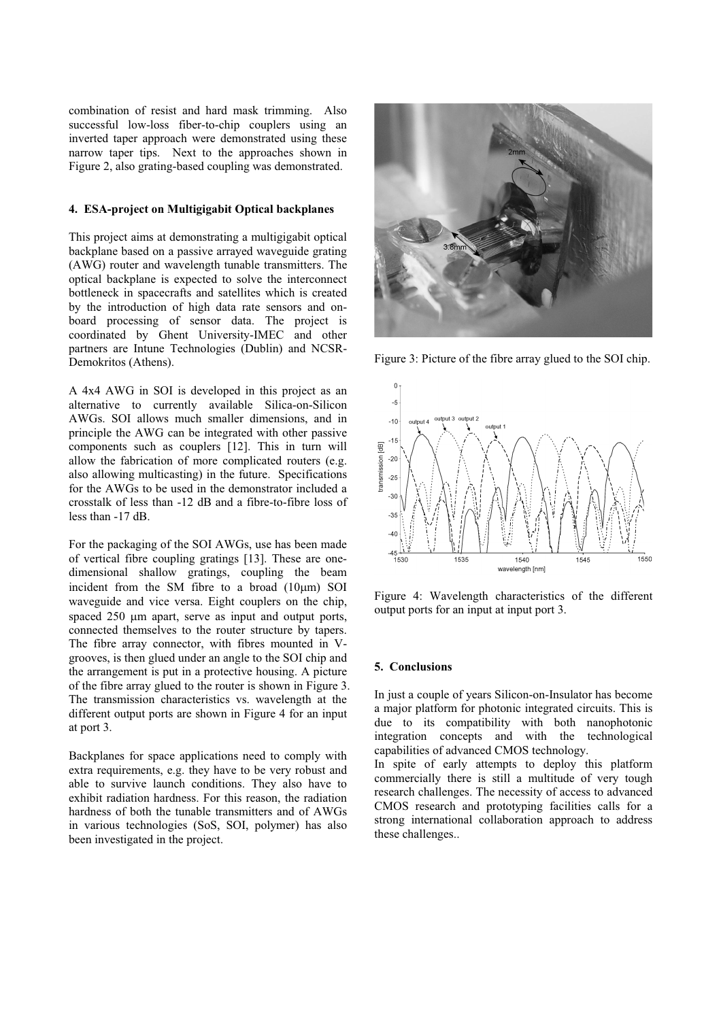combination of resist and hard mask trimming. Also successful low-loss fiber-to-chip couplers using an inverted taper approach were demonstrated using these narrow taper tips. Next to the approaches shown in Figure 2, also grating-based coupling was demonstrated.

#### **4. ESA-project on Multigigabit Optical backplanes**

This project aims at demonstrating a multigigabit optical backplane based on a passive arrayed waveguide grating (AWG) router and wavelength tunable transmitters. The optical backplane is expected to solve the interconnect bottleneck in spacecrafts and satellites which is created by the introduction of high data rate sensors and onboard processing of sensor data. The project is coordinated by Ghent University-IMEC and other partners are Intune Technologies (Dublin) and NCSR-Demokritos (Athens).

A 4x4 AWG in SOI is developed in this project as an alternative to currently available Silica-on-Silicon AWGs. SOI allows much smaller dimensions, and in principle the AWG can be integrated with other passive components such as couplers [12]. This in turn will allow the fabrication of more complicated routers (e.g. also allowing multicasting) in the future. Specifications for the AWGs to be used in the demonstrator included a crosstalk of less than -12 dB and a fibre-to-fibre loss of less than -17 dB.

For the packaging of the SOI AWGs, use has been made of vertical fibre coupling gratings [13]. These are onedimensional shallow gratings, coupling the beam incident from the SM fibre to a broad  $(10 \mu m)$  SOI waveguide and vice versa. Eight couplers on the chip, spaced 250 µm apart, serve as input and output ports. connected themselves to the router structure by tapers. The fibre array connector, with fibres mounted in Vgrooves, is then glued under an angle to the SOI chip and the arrangement is put in a protective housing. A picture of the fibre array glued to the router is shown in Figure 3. The transmission characteristics vs. wavelength at the different output ports are shown in Figure 4 for an input at port 3.

Backplanes for space applications need to comply with extra requirements, e.g. they have to be very robust and able to survive launch conditions. They also have to exhibit radiation hardness. For this reason, the radiation hardness of both the tunable transmitters and of AWGs in various technologies (SoS, SOI, polymer) has also been investigated in the project.



Figure 3: Picture of the fibre array glued to the SOI chip.



Figure 4: Wavelength characteristics of the different output ports for an input at input port 3.

#### **5. Conclusions**

In just a couple of years Silicon-on-Insulator has become a major platform for photonic integrated circuits. This is due to its compatibility with both nanophotonic integration concepts and with the technological capabilities of advanced CMOS technology.

In spite of early attempts to deploy this platform commercially there is still a multitude of very tough research challenges. The necessity of access to advanced CMOS research and prototyping facilities calls for a strong international collaboration approach to address these challenges..